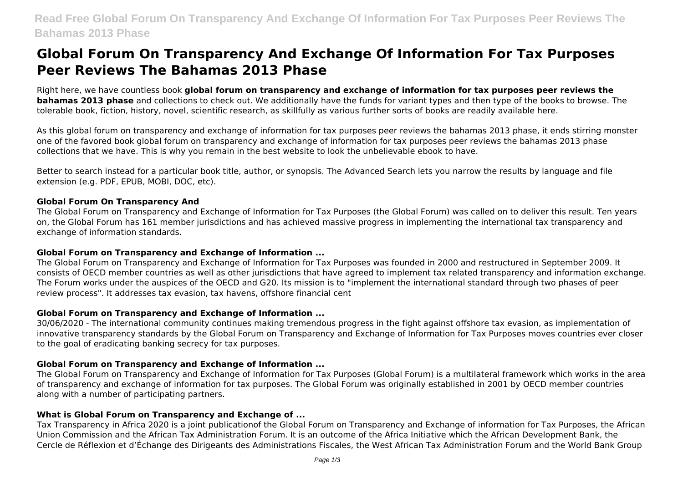# **Global Forum On Transparency And Exchange Of Information For Tax Purposes Peer Reviews The Bahamas 2013 Phase**

Right here, we have countless book **global forum on transparency and exchange of information for tax purposes peer reviews the bahamas 2013 phase** and collections to check out. We additionally have the funds for variant types and then type of the books to browse. The tolerable book, fiction, history, novel, scientific research, as skillfully as various further sorts of books are readily available here.

As this global forum on transparency and exchange of information for tax purposes peer reviews the bahamas 2013 phase, it ends stirring monster one of the favored book global forum on transparency and exchange of information for tax purposes peer reviews the bahamas 2013 phase collections that we have. This is why you remain in the best website to look the unbelievable ebook to have.

Better to search instead for a particular book title, author, or synopsis. The Advanced Search lets you narrow the results by language and file extension (e.g. PDF, EPUB, MOBI, DOC, etc).

#### **Global Forum On Transparency And**

The Global Forum on Transparency and Exchange of Information for Tax Purposes (the Global Forum) was called on to deliver this result. Ten years on, the Global Forum has 161 member jurisdictions and has achieved massive progress in implementing the international tax transparency and exchange of information standards.

# **Global Forum on Transparency and Exchange of Information ...**

The Global Forum on Transparency and Exchange of Information for Tax Purposes was founded in 2000 and restructured in September 2009. It consists of OECD member countries as well as other jurisdictions that have agreed to implement tax related transparency and information exchange. The Forum works under the auspices of the OECD and G20. Its mission is to "implement the international standard through two phases of peer review process". It addresses tax evasion, tax havens, offshore financial cent

# **Global Forum on Transparency and Exchange of Information ...**

30/06/2020 - The international community continues making tremendous progress in the fight against offshore tax evasion, as implementation of innovative transparency standards by the Global Forum on Transparency and Exchange of Information for Tax Purposes moves countries ever closer to the goal of eradicating banking secrecy for tax purposes.

# **Global Forum on Transparency and Exchange of Information ...**

The Global Forum on Transparency and Exchange of Information for Tax Purposes (Global Forum) is a multilateral framework which works in the area of transparency and exchange of information for tax purposes. The Global Forum was originally established in 2001 by OECD member countries along with a number of participating partners.

# **What is Global Forum on Transparency and Exchange of ...**

Tax Transparency in Africa 2020 is a joint publicationof the Global Forum on Transparency and Exchange of information for Tax Purposes, the African Union Commission and the African Tax Administration Forum. It is an outcome of the Africa Initiative which the African Development Bank, the Cercle de Réflexion et d'Échange des Dirigeants des Administrations Fiscales, the West African Tax Administration Forum and the World Bank Group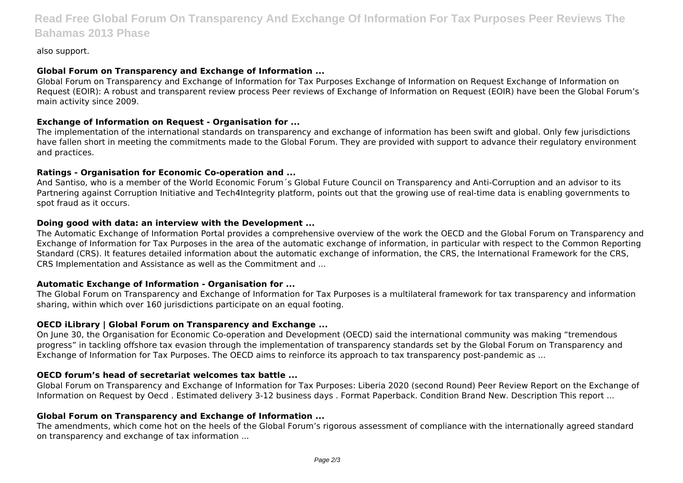# **Read Free Global Forum On Transparency And Exchange Of Information For Tax Purposes Peer Reviews The Bahamas 2013 Phase**

also support.

#### **Global Forum on Transparency and Exchange of Information ...**

Global Forum on Transparency and Exchange of Information for Tax Purposes Exchange of Information on Request Exchange of Information on Request (EOIR): A robust and transparent review process Peer reviews of Exchange of Information on Request (EOIR) have been the Global Forum's main activity since 2009.

#### **Exchange of Information on Request - Organisation for ...**

The implementation of the international standards on transparency and exchange of information has been swift and global. Only few jurisdictions have fallen short in meeting the commitments made to the Global Forum. They are provided with support to advance their regulatory environment and practices.

### **Ratings - Organisation for Economic Co-operation and ...**

And Santiso, who is a member of the World Economic Forum´s Global Future Council on Transparency and Anti-Corruption and an advisor to its Partnering against Corruption Initiative and Tech4Integrity platform, points out that the growing use of real-time data is enabling governments to spot fraud as it occurs.

### **Doing good with data: an interview with the Development ...**

The Automatic Exchange of Information Portal provides a comprehensive overview of the work the OECD and the Global Forum on Transparency and Exchange of Information for Tax Purposes in the area of the automatic exchange of information, in particular with respect to the Common Reporting Standard (CRS). It features detailed information about the automatic exchange of information, the CRS, the International Framework for the CRS, CRS Implementation and Assistance as well as the Commitment and ...

#### **Automatic Exchange of Information - Organisation for ...**

The Global Forum on Transparency and Exchange of Information for Tax Purposes is a multilateral framework for tax transparency and information sharing, within which over 160 jurisdictions participate on an equal footing.

#### **OECD iLibrary | Global Forum on Transparency and Exchange ...**

On June 30, the Organisation for Economic Co-operation and Development (OECD) said the international community was making "tremendous progress" in tackling offshore tax evasion through the implementation of transparency standards set by the Global Forum on Transparency and Exchange of Information for Tax Purposes. The OECD aims to reinforce its approach to tax transparency post-pandemic as ...

# **OECD forum's head of secretariat welcomes tax battle ...**

Global Forum on Transparency and Exchange of Information for Tax Purposes: Liberia 2020 (second Round) Peer Review Report on the Exchange of Information on Request by Oecd . Estimated delivery 3-12 business days . Format Paperback. Condition Brand New. Description This report ...

# **Global Forum on Transparency and Exchange of Information ...**

The amendments, which come hot on the heels of the Global Forum's rigorous assessment of compliance with the internationally agreed standard on transparency and exchange of tax information ...